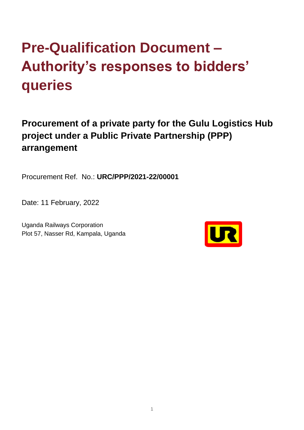## **Pre-Qualification Document – Authority's responses to bidders' queries**

**Procurement of a private party for the Gulu Logistics Hub project under a Public Private Partnership (PPP) arrangement** 

Procurement Ref. No.: **URC/PPP/2021-22/00001**

Date: 11 February, 2022

Uganda Railways Corporation Plot 57, Nasser Rd, Kampala, Uganda

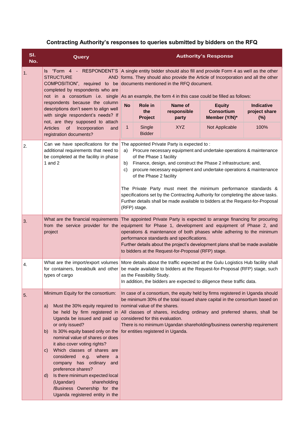## **Contracting Authority's responses to queries submitted by bidders on the RFQ**

| SI.<br>No. | Query                                                                                                                                                                                                                                                                                                                                                                                                                                                                                                                                                         | <b>Authority's Response</b>                                                                                                                                                                                                                                                                                                                                                                                                                                                                                                                                                                |                                         |                                 |                                                     |                                           |
|------------|---------------------------------------------------------------------------------------------------------------------------------------------------------------------------------------------------------------------------------------------------------------------------------------------------------------------------------------------------------------------------------------------------------------------------------------------------------------------------------------------------------------------------------------------------------------|--------------------------------------------------------------------------------------------------------------------------------------------------------------------------------------------------------------------------------------------------------------------------------------------------------------------------------------------------------------------------------------------------------------------------------------------------------------------------------------------------------------------------------------------------------------------------------------------|-----------------------------------------|---------------------------------|-----------------------------------------------------|-------------------------------------------|
| 1.         | <b>STRUCTURE</b><br><b>AND</b><br>COMPOSITION", required to be<br>completed by respondents who are<br>not in a consortium i.e. single<br>respondents because the column<br>descriptions don't seem to align well<br>with single respondent's needs? If<br>not, are they supposed to attach<br>Articles<br><b>of</b><br>Incorporation<br>and<br>registration documents?                                                                                                                                                                                        | Is "Form 4 - RESPONDENT'S A single entity bidder should also fill and provide Form 4 as well as the other<br>forms. They should also provide the Article of Incorporation and all the other<br>documents mentioned in the RFQ document.<br>As an example, the form 4 in this case could be filled as follows:                                                                                                                                                                                                                                                                              |                                         |                                 |                                                     |                                           |
|            |                                                                                                                                                                                                                                                                                                                                                                                                                                                                                                                                                               | <b>No</b>                                                                                                                                                                                                                                                                                                                                                                                                                                                                                                                                                                                  | <b>Role in</b><br>the<br><b>Project</b> | Name of<br>responsible<br>party | <b>Equity</b><br><b>Consortium</b><br>Member (Y/N)* | <b>Indicative</b><br>project share<br>(%) |
|            |                                                                                                                                                                                                                                                                                                                                                                                                                                                                                                                                                               | $\mathbf 1$                                                                                                                                                                                                                                                                                                                                                                                                                                                                                                                                                                                | Single<br><b>Bidder</b>                 | <b>XYZ</b>                      | Not Applicable                                      | 100%                                      |
| 2.         | Can we have specifications for the<br>additional requirements that need to<br>be completed at the facility in phase<br>1 and $2$                                                                                                                                                                                                                                                                                                                                                                                                                              | The appointed Private Party is expected to:<br>Procure necessary equipment and undertake operations & maintenance<br>a)<br>of the Phase 1 facility<br>Finance, design, and construct the Phase 2 infrastructure; and,<br>b)<br>procure necessary equipment and undertake operations & maintenance<br>C)<br>of the Phase 2 facility<br>The Private Party must meet the minimum performance standards &<br>specifications set by the Contracting Authority for completing the above tasks.<br>Further details shall be made available to bidders at the Request-for-Proposal<br>(RFP) stage. |                                         |                                 |                                                     |                                           |
| 3.         | What are the financial requirements<br>from the service provider for the<br>project                                                                                                                                                                                                                                                                                                                                                                                                                                                                           | The appointed Private Party is expected to arrange financing for procuring<br>equipment for Phase 1, development and equipment of Phase 2, and<br>operations & maintenance of both phases while adhering to the minimum<br>performance standards and specifications.<br>Further details about the project's development plans shall be made available<br>to bidders at the Request-for-Proposal (RFP) stage.                                                                                                                                                                               |                                         |                                 |                                                     |                                           |
| 4.         | What are the import/export volumes<br>for containers, breakbulk and other<br>types of cargo                                                                                                                                                                                                                                                                                                                                                                                                                                                                   | More details about the traffic expected at the Gulu Logistics Hub facility shall<br>be made available to bidders at the Request-for-Proposal (RFP) stage, such<br>as the Feasibility Study.<br>In addition, the bidders are expected to diligence these traffic data.                                                                                                                                                                                                                                                                                                                      |                                         |                                 |                                                     |                                           |
| 5.         | Minimum Equity for the consortium:<br>Must the 30% equity required to<br>a)<br>be held by firm registered in<br>Uganda be issued and paid up<br>or only issued?<br>Is 30% equity based only on the<br>b)<br>nominal value of shares or does<br>it also cover voting rights?<br>Which classes of shares are<br>$\mathsf{C}$<br>considered e.g. where<br><sub>a</sub><br>company has ordinary and<br>preference shares?<br>Is there minimum expected local<br>d)<br>(Ugandan)<br>shareholding<br>/Business Ownership for the<br>Uganda registered entity in the | In case of a consortium, the equity held by firms registered in Uganda should<br>be minimum 30% of the total issued share capital in the consortium based on<br>nominal value of the shares.<br>All classes of shares, including ordinary and preferred shares, shall be<br>considered for this evaluation.<br>There is no minimum Ugandan shareholding/business ownership requirement<br>for entities registered in Uganda.                                                                                                                                                               |                                         |                                 |                                                     |                                           |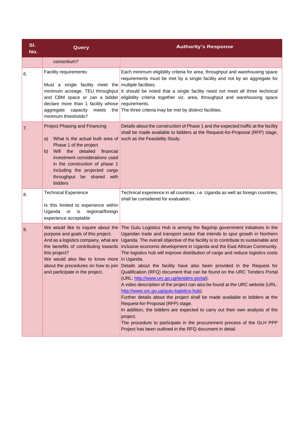| SI.<br>No. | Query                                                                                                                                                                                                                                                                                           | <b>Authority's Response</b>                                                                                                                                                                                                                                                                                                                                                                                                                                                                                                                                                                                                                                                                                                                                                                                                                                                                                                                                                                                                                                                                                        |
|------------|-------------------------------------------------------------------------------------------------------------------------------------------------------------------------------------------------------------------------------------------------------------------------------------------------|--------------------------------------------------------------------------------------------------------------------------------------------------------------------------------------------------------------------------------------------------------------------------------------------------------------------------------------------------------------------------------------------------------------------------------------------------------------------------------------------------------------------------------------------------------------------------------------------------------------------------------------------------------------------------------------------------------------------------------------------------------------------------------------------------------------------------------------------------------------------------------------------------------------------------------------------------------------------------------------------------------------------------------------------------------------------------------------------------------------------|
|            | consortium?                                                                                                                                                                                                                                                                                     |                                                                                                                                                                                                                                                                                                                                                                                                                                                                                                                                                                                                                                                                                                                                                                                                                                                                                                                                                                                                                                                                                                                    |
| 6.         | Facility requirements:<br>Must a single facility meet the<br>minimum acreage, TEU throughput<br>and CBM space or can a bidder<br>declare more than 1 facility whose<br>aggregate<br>capacity<br>meets<br>the<br>minimum thresholds?                                                             | Each minimum eligibility criteria for area, throughput and warehousing space<br>requirements must be met by a single facility and not by an aggregate for<br>multiple facilities.<br>It should be noted that a single facility need not meet all three technical<br>eligibility criteria together viz. area, throughput and warehousing space<br>requirements.<br>The three criteria may be met by distinct facilities.                                                                                                                                                                                                                                                                                                                                                                                                                                                                                                                                                                                                                                                                                            |
| 7.         | Project Phasing and Financing<br>What is the actual built area of<br>a)<br>Phase 1 of the project<br>detailed<br>financial<br>Will<br>the<br>b)<br>investment considerations used<br>in the construction of phase 1<br>including the projected cargo<br>throughput be shared<br>with<br>bidders | Details about the construction of Phase 1 and the expected traffic at the facility<br>shall be made available to bidders at the Request-for-Proposal (RFP) stage,<br>such as the Feasibility Study.                                                                                                                                                                                                                                                                                                                                                                                                                                                                                                                                                                                                                                                                                                                                                                                                                                                                                                                |
| 8.         | <b>Technical Experience</b><br>Is this limited to experience within<br>Uganda<br>or<br>is<br>regional/foreign<br>experience acceptable                                                                                                                                                          | Technical experience in all countries, i.e. Uganda as well as foreign countries,<br>shall be considered for evaluation.                                                                                                                                                                                                                                                                                                                                                                                                                                                                                                                                                                                                                                                                                                                                                                                                                                                                                                                                                                                            |
| 9.         | We would like to inquire about the<br>purpose and goals of this project.<br>And as a logistics company, what are<br>the benefits of contributing towards<br>this project?<br>We would also like to know more<br>about the procedures on how to join<br>and participate in the project.          | The Gulu Logistics Hub is among the flagship government initiatives in the<br>Ugandan trade and transport sector that intends to spur growth in Northern<br>Uganda. The overall objective of the facility is to contribute to sustainable and<br>inclusive economic development in Uganda and the East African Community.<br>The logistics hub will improve distribution of cargo and reduce logistics costs<br>in Uganda.<br>Details about the facility have also been provided in the Request for<br>Qualification (RFQ) document that can be found on the URC Tenders Portal<br>(URL: http://www.urc.go.ug/tenders-portal).<br>A video description of the project can also be found at the URC website (URL:<br>http://www.urc.go.ug/gulu-logistics-hub).<br>Further details about the project shall be made available to bidders at the<br>Request-for-Proposal (RFP) stage.<br>In addition, the bidders are expected to carry out their own analysis of the<br>project.<br>The procedure to participate in the procurement process of the GLH PPP<br>Project has been outlined in the RFQ document in detail. |